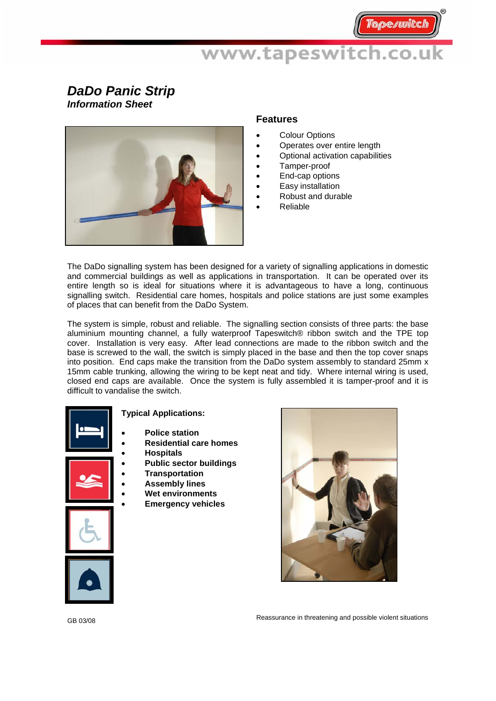## *DaDo Panic Strip Information Sheet*



### **Features**

- **Colour Options**
- Operates over entire length
- Optional activation capabilities
- Tamper-proof
- End-cap options
- Easy installation
- Robust and durable
- Reliable

The DaDo signalling system has been designed for a variety of signalling applications in domestic and commercial buildings as well as applications in transportation. It can be operated over its entire length so is ideal for situations where it is advantageous to have a long, continuous signalling switch. Residential care homes, hospitals and police stations are just some examples of places that can benefit from the DaDo System.

The system is simple, robust and reliable. The signalling section consists of three parts: the base aluminium mounting channel, a fully waterproof Tapeswitch® ribbon switch and the TPE top cover. Installation is very easy. After lead connections are made to the ribbon switch and the base is screwed to the wall, the switch is simply placed in the base and then the top cover snaps into position. End caps make the transition from the DaDo system assembly to standard 25mm x 15mm cable trunking, allowing the wiring to be kept neat and tidy. Where internal wiring is used, closed end caps are available. Once the system is fully assembled it is tamper-proof and it is difficult to vandalise the switch.



### **Typical Applications:**

- **Police station**
- **Residential care homes** 
	- **Hospitals**
	- **Public sector buildings**
- **Transportation**
- **Assembly lines**
- **Wet environments**
- **Emergency vehicles**







GB 03/08

Reassurance in threatening and possible violent situations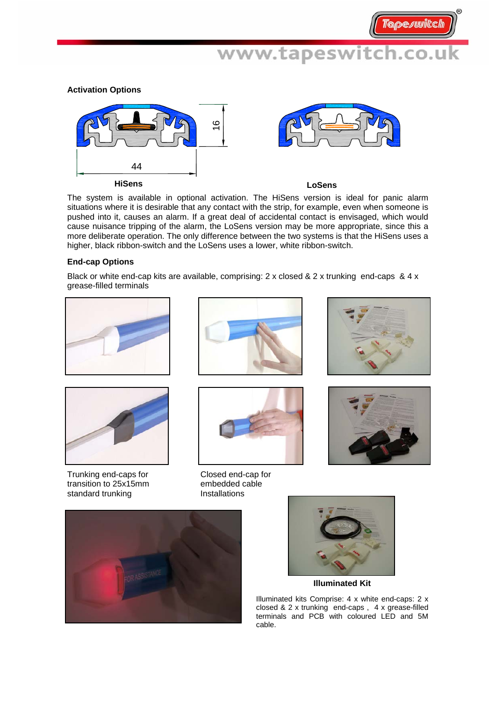### **Activation Options**



The system is available in optional activation. The HiSens version is ideal for panic alarm situations where it is desirable that any contact with the strip, for example, even when someone is pushed into it, causes an alarm. If a great deal of accidental contact is envisaged, which would cause nuisance tripping of the alarm, the LoSens version may be more appropriate, since this a more deliberate operation. The only difference between the two systems is that the HiSens uses a higher, black ribbon-switch and the LoSens uses a lower, white ribbon-switch.

### **End-cap Options**

Black or white end-cap kits are available, comprising: 2 x closed & 2 x trunking end-caps & 4 x grease-filled terminals





Trunking end-caps for transition to 25x15mm standard trunking





Closed end-cap for embedded cable Installations









**Illuminated Kit** 

Illuminated kits Comprise: 4 x white end-caps: 2 x closed & 2 x trunking end-caps , 4 x grease-filled terminals and PCB with coloured LED and 5M cable.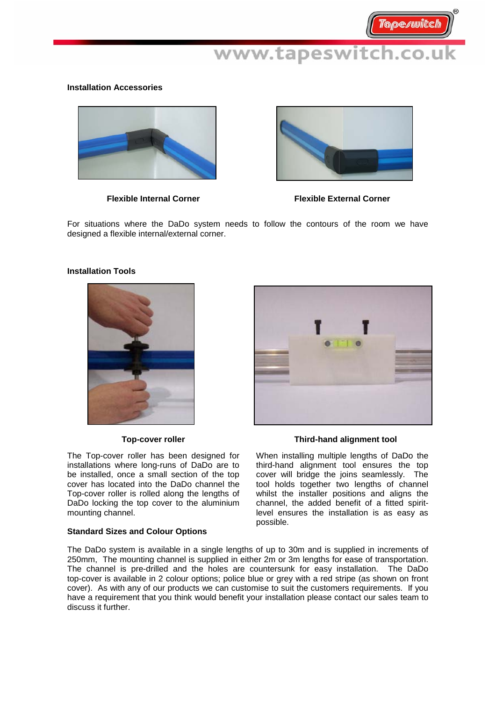### **Installation Accessories**



**Flexible Internal Corner** 



**Flexible External Corner** 

For situations where the DaDo system needs to follow the contours of the room we have designed a flexible internal/external corner.

### **Installation Tools**



The Top-cover roller has been designed for installations where long-runs of DaDo are to be installed, once a small section of the top cover has located into the DaDo channel the Top-cover roller is rolled along the lengths of DaDo locking the top cover to the aluminium mounting channel.

### **Standard Sizes and Colour Options**



### **Top-cover roller Community Community Third-hand alignment tool**

When installing multiple lengths of DaDo the third-hand alignment tool ensures the top cover will bridge the joins seamlessly. The tool holds together two lengths of channel whilst the installer positions and aligns the channel, the added benefit of a fitted spiritlevel ensures the installation is as easy as possible.

The DaDo system is available in a single lengths of up to 30m and is supplied in increments of 250mm, The mounting channel is supplied in either 2m or 3m lengths for ease of transportation. The channel is pre-drilled and the holes are countersunk for easy installation. The DaDo top-cover is available in 2 colour options; police blue or grey with a red stripe (as shown on front cover). As with any of our products we can customise to suit the customers requirements. If you have a requirement that you think would benefit your installation please contact our sales team to discuss it further.